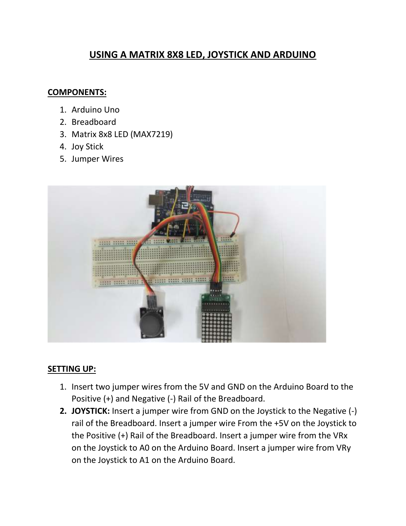# **USING A MATRIX 8X8 LED, JOYSTICK AND ARDUINO**

## **COMPONENTS:**

- 1. Arduino Uno
- 2. Breadboard
- 3. Matrix 8x8 LED (MAX7219)
- 4. Joy Stick
- 5. Jumper Wires



### **SETTING UP:**

- 1. Insert two jumper wires from the 5V and GND on the Arduino Board to the Positive (+) and Negative (-) Rail of the Breadboard.
- **2. JOYSTICK:** Insert a jumper wire from GND on the Joystick to the Negative (-) rail of the Breadboard. Insert a jumper wire From the +5V on the Joystick to the Positive (+) Rail of the Breadboard. Insert a jumper wire from the VRx on the Joystick to A0 on the Arduino Board. Insert a jumper wire from VRy on the Joystick to A1 on the Arduino Board.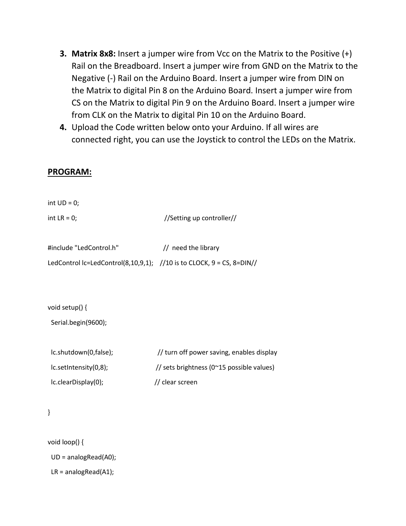- **3. Matrix 8x8:** Insert a jumper wire from Vcc on the Matrix to the Positive (+) Rail on the Breadboard. Insert a jumper wire from GND on the Matrix to the Negative (-) Rail on the Arduino Board. Insert a jumper wire from DIN on the Matrix to digital Pin 8 on the Arduino Board. Insert a jumper wire from CS on the Matrix to digital Pin 9 on the Arduino Board. Insert a jumper wire from CLK on the Matrix to digital Pin 10 on the Arduino Board.
- **4.** Upload the Code written below onto your Arduino. If all wires are connected right, you can use the Joystick to control the LEDs on the Matrix.

#### **PROGRAM:**

int  $UD = 0$ ;

 $int LR = 0;$  //Setting up controller//

| #include "LedControl.h"                                                      | // need the library |
|------------------------------------------------------------------------------|---------------------|
| LedControl Ic=LedControl(8,10,9,1); //10 is to CLOCK, $9 = CS$ , $8 = DIN//$ |                     |

void setup() {

| Serial.begin(9600); |  |
|---------------------|--|
|---------------------|--|

| lc.shutdown(0,false);      | // turn off power saving, enables display          |
|----------------------------|----------------------------------------------------|
| lc.setIntensity(0,8);      | // sets brightness ( $0^{\sim}15$ possible values) |
| $lc$ .clearDisplay $(0)$ ; | // clear screen                                    |

### }

void loop() {

UD = analogRead(A0);

LR = analogRead(A1);